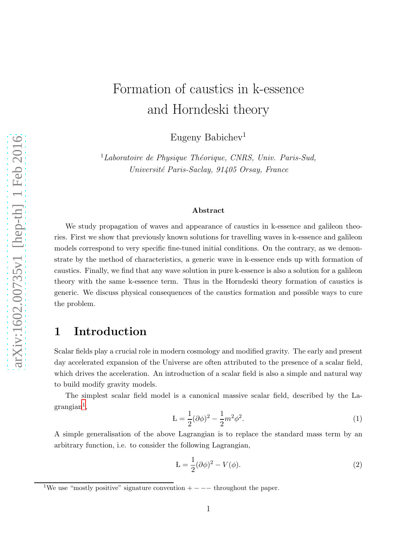# Formation of caustics in k-essence and Horndeski theory

Eugeny Babichev<sup>1</sup>

 ${}^{1}$ Laboratoire de Physique Théorique, CNRS, Univ. Paris-Sud, Université Paris-Saclay, 91405 Orsay, France

#### Abstract

We study propagation of waves and appearance of caustics in k-essence and galileon theories. First we show that previously known solutions for travelling waves in k-essence and galileon models correspond to very specific fine-tuned initial conditions. On the contrary, as we demonstrate by the method of characteristics, a generic wave in k-essence ends up with formation of caustics. Finally, we find that any wave solution in pure k-essence is also a solution for a galileon theory with the same k-essence term. Thus in the Horndeski theory formation of caustics is generic. We discuss physical consequences of the caustics formation and possible ways to cure the problem.

# 1 Introduction

Scalar fields play a crucial role in modern cosmology and modified gravity. The early and present day accelerated expansion of the Universe are often attributed to the presence of a scalar field, which drives the acceleration. An introduction of a scalar field is also a simple and natural way to build modify gravity models.

The simplest scalar field model is a canonical massive scalar field, described by the La- $\mathrm{grangian}^1,$  $\mathrm{grangian}^1,$  $\mathrm{grangian}^1,$ 

<span id="page-0-1"></span>
$$
L = \frac{1}{2} (\partial \phi)^2 - \frac{1}{2} m^2 \phi^2.
$$
 (1)

A simple generalisation of the above Lagrangian is to replace the standard mass term by an arbitrary function, i.e. to consider the following Lagrangian,

<span id="page-0-2"></span>
$$
L = \frac{1}{2}(\partial \phi)^2 - V(\phi). \tag{2}
$$

<span id="page-0-0"></span> $1$ We use "mostly positive" signature convention  $+ - - -$  throughout the paper.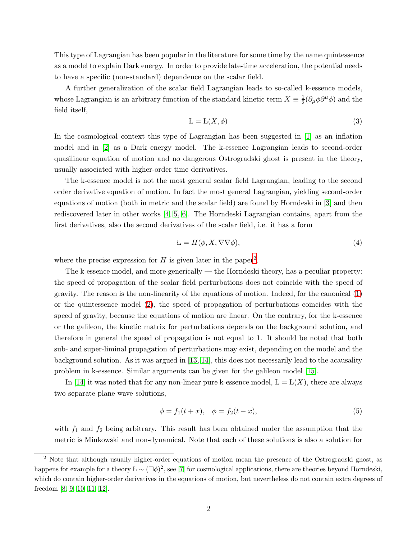This type of Lagrangian has been popular in the literature for some time by the name quintessence as a model to explain Dark energy. In order to provide late-time acceleration, the potential needs to have a specific (non-standard) dependence on the scalar field.

A further generalization of the scalar field Lagrangian leads to so-called k-essence models, whose Lagrangian is an arbitrary function of the standard kinetic term  $X \equiv \frac{1}{2}$  $\frac{1}{2}(\partial_{\mu}\phi\partial^{\mu}\phi)$  and the field itself,

<span id="page-1-2"></span>
$$
L = L(X, \phi) \tag{3}
$$

In the cosmological context this type of Lagrangian has been suggested in [\[1\]](#page-13-0) as an inflation model and in [\[2\]](#page-13-1) as a Dark energy model. The k-essence Lagrangian leads to second-order quasilinear equation of motion and no dangerous Ostrogradski ghost is present in the theory, usually associated with higher-order time derivatives.

The k-essence model is not the most general scalar field Lagrangian, leading to the second order derivative equation of motion. In fact the most general Lagrangian, yielding second-order equations of motion (both in metric and the scalar field) are found by Horndeski in [\[3\]](#page-13-2) and then rediscovered later in other works [\[4,](#page-14-0) [5,](#page-14-1) [6\]](#page-14-2). The Horndeski Lagrangian contains, apart from the first derivatives, also the second derivatives of the scalar field, i.e. it has a form

$$
\mathcal{L} = H(\phi, X, \nabla \nabla \phi),\tag{4}
$$

where the precise expression for  $H$  is given later in the paper<sup>[2](#page-1-0)</sup>.

The k-essence model, and more generically — the Horndeski theory, has a peculiar property: the speed of propagation of the scalar field perturbations does not coincide with the speed of gravity. The reason is the non-linearity of the equations of motion. Indeed, for the canonical [\(1\)](#page-0-1) or the quintessence model [\(2\)](#page-0-2), the speed of propagation of perturbations coincides with the speed of gravity, because the equations of motion are linear. On the contrary, for the k-essence or the galileon, the kinetic matrix for perturbations depends on the background solution, and therefore in general the speed of propagation is not equal to 1. It should be noted that both sub- and super-liminal propagation of perturbations may exist, depending on the model and the background solution. As it was argued in [\[13,](#page-14-3) [14\]](#page-14-4), this does not necessarily lead to the acausality problem in k-essence. Similar arguments can be given for the galileon model [\[15\]](#page-14-5).

In [\[14\]](#page-14-4) it was noted that for any non-linear pure k-essence model,  $L = L(X)$ , there are always two separate plane wave solutions,

<span id="page-1-1"></span>
$$
\phi = f_1(t+x), \quad \phi = f_2(t-x), \tag{5}
$$

with  $f_1$  and  $f_2$  being arbitrary. This result has been obtained under the assumption that the metric is Minkowski and non-dynamical. Note that each of these solutions is also a solution for

<span id="page-1-0"></span><sup>2</sup> Note that although usually higher-order equations of motion mean the presence of the Ostrogradski ghost, as happens for example for a theory  $L \sim (\Box \phi)^2$ , see [\[7\]](#page-14-6) for cosmological applications, there are theories beyond Horndeski, which do contain higher-order derivatives in the equations of motion, but nevertheless do not contain extra degrees of freedom [\[8,](#page-14-7) [9,](#page-14-8) [10,](#page-14-9) [11,](#page-14-10) [12\]](#page-14-11).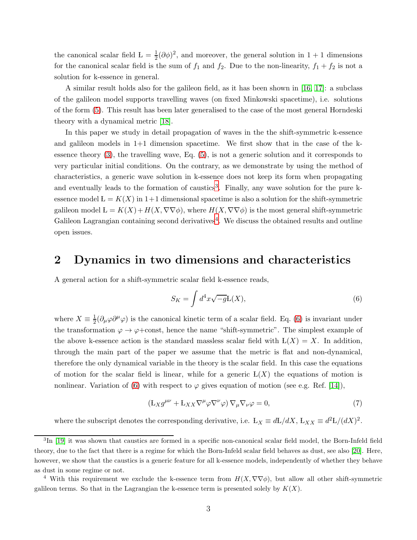the canonical scalar field  $L = \frac{1}{2} (\partial \phi)^2$ , and moreover, the general solution in 1 + 1 dimensions for the canonical scalar field is the sum of  $f_1$  and  $f_2$ . Due to the non-linearity,  $f_1 + f_2$  is not a solution for k-essence in general.

A similar result holds also for the galileon field, as it has been shown in [\[16,](#page-14-12) [17\]](#page-14-13): a subclass of the galileon model supports travelling waves (on fixed Minkowski spacetime), i.e. solutions of the form [\(5\)](#page-1-1). This result has been later generalised to the case of the most general Horndeski theory with a dynamical metric [\[18\]](#page-14-14).

In this paper we study in detail propagation of waves in the the shift-symmetric k-essence and galileon models in  $1+1$  dimension spacetime. We first show that in the case of the kessence theory [\(3\)](#page-1-2), the travelling wave, Eq. [\(5\)](#page-1-1), is not a generic solution and it corresponds to very particular initial conditions. On the contrary, as we demonstrate by using the method of characteristics, a generic wave solution in k-essence does not keep its form when propagating and eventually leads to the formation of caustics<sup>[3](#page-2-0)</sup>. Finally, any wave solution for the pure kessence model  $L = K(X)$  in 1+1 dimensional spacetime is also a solution for the shift-symmetric galileon model  $L = K(X) + H(X, \nabla \nabla \phi)$ , where  $H(X, \nabla \nabla \phi)$  is the most general shift-symmetric Galileon Lagrangian containing second derivatives<sup>[4](#page-2-1)</sup>. We discuss the obtained results and outline open issues.

### 2 Dynamics in two dimensions and characteristics

A general action for a shift-symmetric scalar field k-essence reads,

<span id="page-2-2"></span>
$$
S_K = \int d^4x \sqrt{-g} \mathcal{L}(X),\tag{6}
$$

where  $X \equiv \frac{1}{2}$  $\frac{1}{2}(\partial_{\mu}\varphi\partial^{\mu}\varphi)$  is the canonical kinetic term of a scalar field. Eq. [\(6\)](#page-2-2) is invariant under the transformation  $\varphi \to \varphi + \text{const}$ , hence the name "shift-symmetric". The simplest example of the above k-essence action is the standard massless scalar field with  $L(X) = X$ . In addition, through the main part of the paper we assume that the metric is flat and non-dynamical, therefore the only dynamical variable in the theory is the scalar field. In this case the equations of motion for the scalar field is linear, while for a generic  $L(X)$  the equations of motion is nonlinear. Variation of [\(6\)](#page-2-2) with respect to  $\varphi$  gives equation of motion (see e.g. Ref. [\[14\]](#page-14-4)),

<span id="page-2-3"></span>
$$
\left(\mathcal{L}_X g^{\mu\nu} + \mathcal{L}_{XX} \nabla^{\mu} \varphi \nabla^{\nu} \varphi \right) \nabla_{\mu} \nabla_{\nu} \varphi = 0, \tag{7}
$$

where the subscript denotes the corresponding derivative, i.e.  $L_X \equiv dL/dX$ ,  $L_{XX} \equiv d^2L/(dX)^2$ .

<span id="page-2-0"></span><sup>&</sup>lt;sup>3</sup>In [\[19\]](#page-14-15) it was shown that caustics are formed in a specific non-canonical scalar field model, the Born-Infeld field theory, due to the fact that there is a regime for which the Born-Infeld scalar field behaves as dust, see also [\[20\]](#page-14-16). Here, however, we show that the caustics is a generic feature for all k-essence models, independently of whether they behave as dust in some regime or not.

<span id="page-2-1"></span><sup>&</sup>lt;sup>4</sup> With this requirement we exclude the k-essence term from  $H(X, \nabla \nabla \phi)$ , but allow all other shift-symmetric galileon terms. So that in the Lagrangian the k-essence term is presented solely by  $K(X)$ .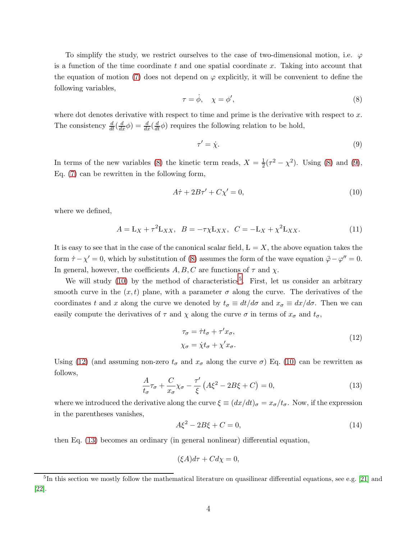To simplify the study, we restrict ourselves to the case of two-dimensional motion, i.e.  $\varphi$ is a function of the time coordinate t and one spatial coordinate x. Taking into account that the equation of motion [\(7\)](#page-2-3) does not depend on  $\varphi$  explicitly, it will be convenient to define the following variables,

<span id="page-3-0"></span>
$$
\tau = \dot{\phi}, \quad \chi = \phi', \tag{8}
$$

where dot denotes derivative with respect to time and prime is the derivative with respect to  $x$ . The consistency  $\frac{d}{dt}(\frac{d}{dx}\phi) = \frac{d}{dx}(\frac{d}{dt}\phi)$  requires the following relation to be hold,

<span id="page-3-1"></span>
$$
\tau' = \dot{\chi}.\tag{9}
$$

In terms of the new variables [\(8\)](#page-3-0) the kinetic term reads,  $X = \frac{1}{2}$  $\frac{1}{2}(\tau^2 - \chi^2)$ . Using [\(8\)](#page-3-0) and [\(9\)](#page-3-1), Eq. [\(7\)](#page-2-3) can be rewritten in the following form,

<span id="page-3-2"></span>
$$
A\dot{\tau} + 2B\tau' + C\chi' = 0,\tag{10}
$$

where we defined,

<span id="page-3-7"></span>
$$
A = \mathbf{L}_X + \tau^2 \mathbf{L}_{XX}, \quad B = -\tau \chi \mathbf{L}_{XX}, \quad C = -\mathbf{L}_X + \chi^2 \mathbf{L}_{XX}.
$$
 (11)

It is easy to see that in the case of the canonical scalar field,  $L = X$ , the above equation takes the form  $\dot{\tau} - \chi' = 0$ , which by substitution of [\(8\)](#page-3-0) assumes the form of the wave equation  $\ddot{\varphi} - \varphi'' = 0$ . In general, however, the coefficients  $A, B, C$  are functions of  $\tau$  and  $\chi$ .

We will study  $(10)$  by the method of characteristics<sup>[5](#page-3-3)</sup>. First, let us consider an arbitrary smooth curve in the  $(x, t)$  plane, with a parameter  $\sigma$  along the curve. The derivatives of the coordinates t and x along the curve we denoted by  $t_{\sigma} \equiv dt/d\sigma$  and  $x_{\sigma} \equiv dx/d\sigma$ . Then we can easily compute the derivatives of  $\tau$  and  $\chi$  along the curve  $\sigma$  in terms of  $x_{\sigma}$  and  $t_{\sigma}$ ,

$$
\tau_{\sigma} = \dot{\tau}t_{\sigma} + \tau'x_{\sigma}, \chi_{\sigma} = \dot{\chi}t_{\sigma} + \chi'x_{\sigma}.
$$
\n(12)

<span id="page-3-4"></span>Using [\(12\)](#page-3-4) (and assuming non-zero  $t_{\sigma}$  and  $x_{\sigma}$  along the curve  $\sigma$ ) Eq. [\(10\)](#page-3-2) can be rewritten as follows,

<span id="page-3-5"></span>
$$
\frac{A}{t_{\sigma}}\tau_{\sigma} + \frac{C}{x_{\sigma}}\chi_{\sigma} - \frac{\tau'}{\xi} \left( A\xi^2 - 2B\xi + C \right) = 0, \tag{13}
$$

where we introduced the derivative along the curve  $\xi \equiv (dx/dt)_{\sigma} = x_{\sigma}/t_{\sigma}$ . Now, if the expression in the parentheses vanishes,

<span id="page-3-6"></span>
$$
A\xi^2 - 2B\xi + C = 0,\t(14)
$$

then Eq. [\(13\)](#page-3-5) becomes an ordinary (in general nonlinear) differential equation,

$$
(\xi A)d\tau + Cd\chi = 0,
$$

<span id="page-3-3"></span><sup>&</sup>lt;sup>5</sup>In this section we mostly follow the mathematical literature on quasilinear differential equations, see e.g. [\[21\]](#page-14-17) and [\[22\]](#page-14-18).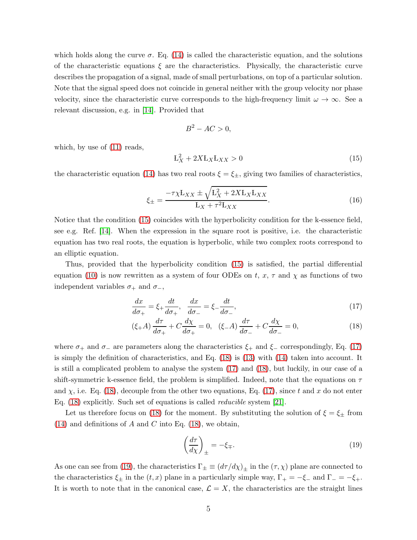which holds along the curve  $\sigma$ . Eq. [\(14\)](#page-3-6) is called the characteristic equation, and the solutions of the characteristic equations  $\xi$  are the characteristics. Physically, the characteristic curve describes the propagation of a signal, made of small perturbations, on top of a particular solution. Note that the signal speed does not coincide in general neither with the group velocity nor phase velocity, since the characteristic curve corresponds to the high-frequency limit  $\omega \to \infty$ . See a relevant discussion, e.g. in [\[14\]](#page-14-4). Provided that

$$
B^2 - AC > 0,
$$

which, by use of  $(11)$  reads,

<span id="page-4-0"></span>
$$
L_X^2 + 2X L_X L_{XX} > 0 \tag{15}
$$

the characteristic equation [\(14\)](#page-3-6) has two real roots  $\xi = \xi_{\pm}$ , giving two families of characteristics,

<span id="page-4-3"></span>
$$
\xi_{\pm} = \frac{-\tau \chi L_{XX} \pm \sqrt{L_X^2 + 2XL_XL_{XX}}}{L_X + \tau^2 L_{XX}}.
$$
\n(16)

Notice that the condition [\(15\)](#page-4-0) coincides with the hyperbolicity condition for the k-essence field, see e.g. Ref. [\[14\]](#page-14-4). When the expression in the square root is positive, i.e. the characteristic equation has two real roots, the equation is hyperbolic, while two complex roots correspond to an elliptic equation.

Thus, provided that the hyperbolicity condition [\(15\)](#page-4-0) is satisfied, the partial differential equation [\(10\)](#page-3-2) is now rewritten as a system of four ODEs on t,  $x, \tau$  and  $\chi$  as functions of two independent variables  $\sigma_+$  and  $\sigma_-,$ 

<span id="page-4-1"></span>
$$
\frac{dx}{d\sigma_+} = \xi_+ \frac{dt}{d\sigma_+}, \quad \frac{dx}{d\sigma_-} = \xi_- \frac{dt}{d\sigma_-},\tag{17}
$$

$$
(\xi + A) \frac{d\tau}{d\sigma_+} + C \frac{d\chi}{d\sigma_+} = 0, \quad (\xi - A) \frac{d\tau}{d\sigma_-} + C \frac{d\chi}{d\sigma_-} = 0,\tag{18}
$$

where  $\sigma_+$  and  $\sigma_-$  are parameters along the characteristics  $\xi_+$  and  $\xi_-$  correspondingly, Eq. [\(17\)](#page-4-1) is simply the definition of characteristics, and Eq. [\(18\)](#page-4-1) is [\(13\)](#page-3-5) with [\(14\)](#page-3-6) taken into account. It is still a complicated problem to analyse the system [\(17\)](#page-4-1) and [\(18\)](#page-4-1), but luckily, in our case of a shift-symmetric k-essence field, the problem is simplified. Indeed, note that the equations on  $\tau$ and  $\chi$ , i.e. Eq. [\(18\)](#page-4-1), decouple from the other two equations, Eq. [\(17\)](#page-4-1), since t and x do not enter Eq. [\(18\)](#page-4-1) explicitly. Such set of equations is called reducible system [\[21\]](#page-14-17).

Let us therefore focus on [\(18\)](#page-4-1) for the moment. By substituting the solution of  $\xi = \xi_{\pm}$  from  $(14)$  and definitions of A and C into Eq.  $(18)$ , we obtain,

<span id="page-4-2"></span>
$$
\left(\frac{d\tau}{d\chi}\right)_{\pm} = -\xi_{\mp}.\tag{19}
$$

As one can see from [\(19\)](#page-4-2), the characteristics  $\Gamma_{\pm} \equiv (d\tau/d\chi)_{\pm}$  in the  $(\tau, \chi)$  plane are connected to the characteristics  $\xi_{\pm}$  in the  $(t, x)$  plane in a particularly simple way,  $\Gamma_{+} = -\xi_{-}$  and  $\Gamma_{-} = -\xi_{+}$ . It is worth to note that in the canonical case,  $\mathcal{L} = X$ , the characteristics are the straight lines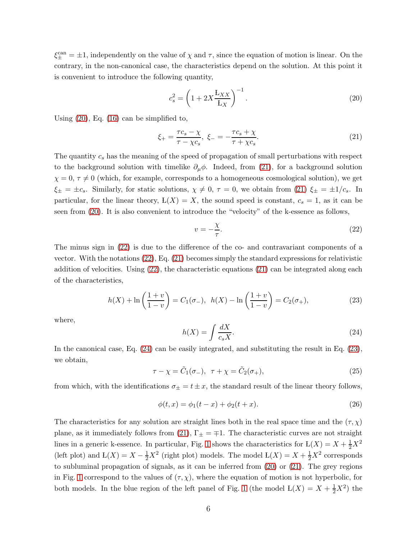$\xi_{\pm}^{\text{can}} = \pm 1$ , independently on the value of  $\chi$  and  $\tau$ , since the equation of motion is linear. On the contrary, in the non-canonical case, the characteristics depend on the solution. At this point it is convenient to introduce the following quantity,

<span id="page-5-0"></span>
$$
c_s^2 = \left(1 + 2X \frac{\mathcal{L}_{XX}}{\mathcal{L}_X}\right)^{-1}.\tag{20}
$$

Using [\(20\)](#page-5-0), Eq. [\(16\)](#page-4-3) can be simplified to,

<span id="page-5-1"></span>
$$
\xi_{+} = \frac{\tau c_s - \chi}{\tau - \chi c_s}, \ \xi_{-} = -\frac{\tau c_s + \chi}{\tau + \chi c_s}.
$$
 (21)

The quantity  $c_s$  has the meaning of the speed of propagation of small perturbations with respect to the background solution with timelike  $\partial_\mu \phi$ . Indeed, from [\(21\)](#page-5-1), for a background solution  $\chi = 0, \tau \neq 0$  (which, for example, corresponds to a homogeneous cosmological solution), we get  $\xi_{\pm} = \pm c_s$ . Similarly, for static solutions,  $\chi \neq 0$ ,  $\tau = 0$ , we obtain from [\(21\)](#page-5-1)  $\xi_{\pm} = \pm 1/c_s$ . In particular, for the linear theory,  $L(X) = X$ , the sound speed is constant,  $c_s = 1$ , as it can be seen from [\(20\)](#page-5-0). It is also convenient to introduce the "velocity" of the k-essence as follows,

<span id="page-5-2"></span>
$$
v = -\frac{\chi}{\tau}.\tag{22}
$$

The minus sign in [\(22\)](#page-5-2) is due to the difference of the co- and contravariant components of a vector. With the notations [\(22\)](#page-5-2), Eq. [\(21\)](#page-5-1) becomes simply the standard expressions for relativistic addition of velocities. Using [\(22\)](#page-5-2), the characteristic equations [\(21\)](#page-5-1) can be integrated along each of the characteristics,

<span id="page-5-4"></span>
$$
h(X) + \ln\left(\frac{1+v}{1-v}\right) = C_1(\sigma_-), \ \ h(X) - \ln\left(\frac{1+v}{1-v}\right) = C_2(\sigma_+),\tag{23}
$$

where,

<span id="page-5-3"></span>
$$
h(X) = \int \frac{dX}{c_s X}.\tag{24}
$$

In the canonical case, Eq. [\(24\)](#page-5-3) can be easily integrated, and substituting the result in Eq. [\(23\)](#page-5-4), we obtain,

$$
\tau - \chi = \tilde{C}_1(\sigma_-), \quad \tau + \chi = \tilde{C}_2(\sigma_+), \tag{25}
$$

from which, with the identifications  $\sigma_{\pm} = t \pm x$ , the standard result of the linear theory follows,

$$
\phi(t, x) = \phi_1(t - x) + \phi_2(t + x).
$$
\n(26)

The characteristics for any solution are straight lines both in the real space time and the  $(\tau, \chi)$ plane, as it immediately follows from [\(21\)](#page-5-1),  $\Gamma_{\pm} = \mp 1$ . The characteristic curves are not straight lines in a generic k-essence. In particular, Fig. [1](#page-6-0) shows the characteristics for  $L(X) = X + \frac{1}{2}X^2$ (left plot) and  $L(X) = X - \frac{1}{2}X^2$  (right plot) models. The model  $L(X) = X + \frac{1}{2}X^2$  corresponds to subluminal propagation of signals, as it can be inferred from [\(20\)](#page-5-0) or [\(21\)](#page-5-1). The grey regions in Fig. [1](#page-6-0) correspond to the values of  $(\tau, \chi)$ , where the equation of motion is not hyperbolic, for both models. In the blue region of the left panel of Fig. [1](#page-6-0) (the model  $L(X) = X + \frac{1}{2}X^2$ ) the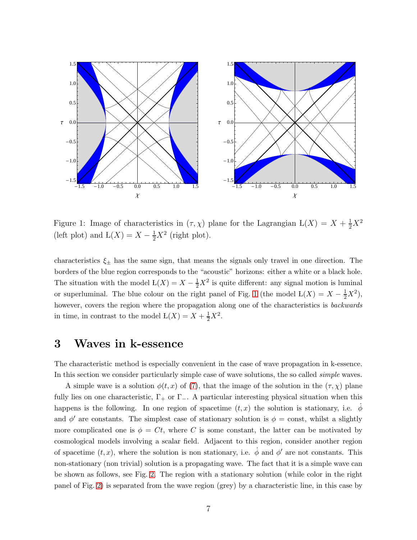

<span id="page-6-0"></span>Figure 1: Image of characteristics in  $(\tau, \chi)$  plane for the Lagrangian  $L(X) = X + \frac{1}{2}X^2$ (left plot) and  $L(X) = X - \frac{1}{2}X^2$  (right plot).

characteristics  $\xi_{\pm}$  has the same sign, that means the signals only travel in one direction. The borders of the blue region corresponds to the "acoustic" horizons: either a white or a black hole. The situation with the model  $L(X) = X - \frac{1}{2}X^2$  is quite different: any signal motion is luminal or superluminal. The blue colour on the right panel of Fig. [1](#page-6-0) (the model  $L(X) = X - \frac{1}{2}X^2$ ), however, covers the region where the propagation along one of the characteristics is *backwards* in time, in contrast to the model  $L(X) = X + \frac{1}{2}X^2$ .

### <span id="page-6-1"></span>3 Waves in k-essence

The characteristic method is especially convenient in the case of wave propagation in k-essence. In this section we consider particularly simple case of wave solutions, the so called *simple* waves.

A simple wave is a solution  $\phi(t, x)$  of [\(7\)](#page-2-3), that the image of the solution in the  $(\tau, \chi)$  plane fully lies on one characteristic,  $\Gamma_+$  or  $\Gamma_-$ . A particular interesting physical situation when this happens is the following. In one region of spacetime  $(t, x)$  the solution is stationary, i.e.  $\phi$ and  $\phi'$  are constants. The simplest case of stationary solution is  $\phi = \text{const}$ , whilst a slightly more complicated one is  $\phi = Ct$ , where C is some constant, the latter can be motivated by cosmological models involving a scalar field. Adjacent to this region, consider another region of spacetime  $(t, x)$ , where the solution is non stationary, i.e.  $\dot{\phi}$  and  $\phi'$  are not constants. This non-stationary (non trivial) solution is a propagating wave. The fact that it is a simple wave can be shown as follows, see Fig. [2.](#page-7-0) The region with a stationary solution (while color in the right panel of Fig. [2\)](#page-7-0) is separated from the wave region (grey) by a characteristic line, in this case by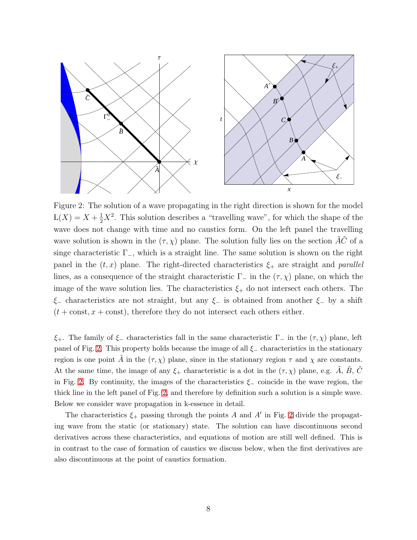

<span id="page-7-0"></span>Figure 2: The solution of a wave propagating in the right direction is shown for the model  $L(X) = X + \frac{1}{2}X^2$ . This solution describes a "travelling wave", for which the shape of the wave does not change with time and no caustics form. On the left panel the travelling wave solution is shown in the  $(\tau, \chi)$  plane. The solution fully lies on the section  $\tilde{A}\tilde{C}$  of a singe characteristic  $\Gamma_-,$  which is a straight line. The same solution is shown on the right panel in the  $(t, x)$  plane. The right-directed characteristics  $\xi_{+}$  are straight and parallel lines, as a consequence of the straight characteristic  $\Gamma_-\$  in the  $(\tau, \chi)$  plane, on which the image of the wave solution lies. The characteristics  $\xi_{+}$  do not intersect each others. The  $\xi$ − characteristics are not straight, but any  $\xi$ − is obtained from another  $\xi$ − by a shift  $(t + const, x + const)$ , therefore they do not intersect each others either.

 $\xi_+$ . The family of  $\xi_-$  characteristics fall in the same characteristic  $\Gamma_-$  in the  $(\tau, \chi)$  plane, left panel of Fig. [2.](#page-7-0) This property holds because the image of all  $\xi$ <sub>-</sub> characteristics in the stationary region is one point A in the  $(\tau, \chi)$  plane, since in the stationary region  $\tau$  and  $\chi$  are constants. At the same time, the image of any  $\xi_{+}$  characteristic is a dot in the  $(\tau, \chi)$  plane, e.g. A, B, C in Fig. [2.](#page-7-0) By continuity, the images of the characteristics  $\xi$  coincide in the wave region, the thick line in the left panel of Fig. [2,](#page-7-0) and therefore by definition such a solution is a simple wave. Below we consider wave propagation in k-essence in detail.

The characteristics  $\xi_{+}$  passing through the points A and A' in Fig. [2](#page-7-0) divide the propagating wave from the static (or stationary) state. The solution can have discontinuous second derivatives across these characteristics, and equations of motion are still well defined. This is in contrast to the case of formation of caustics we discuss below, when the first derivatives are also discontinuous at the point of caustics formation.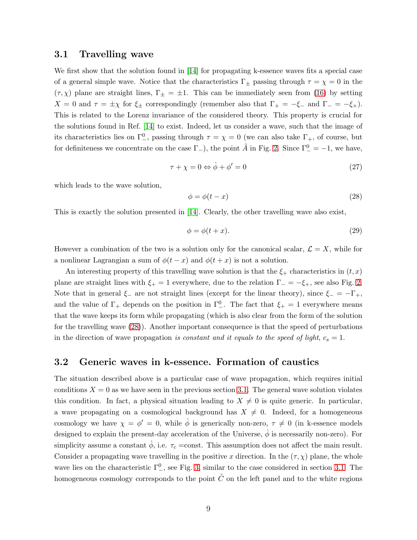#### <span id="page-8-1"></span>3.1 Travelling wave

We first show that the solution found in [\[14\]](#page-14-4) for propagating k-essence waves fits a special case of a general simple wave. Notice that the characteristics  $\Gamma_{\pm}$  passing through  $\tau = \chi = 0$  in the  $(\tau, \chi)$  plane are straight lines,  $\Gamma_{\pm} = \pm 1$ . This can be immediately seen from [\(16\)](#page-4-3) by setting  $X = 0$  and  $\tau = \pm \chi$  for  $\xi_{\pm}$  correspondingly (remember also that  $\Gamma_{+} = -\xi_{-}$  and  $\Gamma_{-} = -\xi_{+}$ ). This is related to the Lorenz invariance of the considered theory. This property is crucial for the solutions found in Ref. [\[14\]](#page-14-4) to exist. Indeed, let us consider a wave, such that the image of its characteristics lies on  $\Gamma^0_-,$  passing through  $\tau = \chi = 0$  (we can also take  $\Gamma_+,$  of course, but for definiteness we concentrate on the case  $\Gamma_{-}$ ), the point  $\tilde{A}$  in Fig. [2.](#page-7-0) Since  $\Gamma_{-}^{0} = -1$ , we have,

$$
\tau + \chi = 0 \Leftrightarrow \dot{\phi} + \phi' = 0 \tag{27}
$$

which leads to the wave solution,

<span id="page-8-0"></span>
$$
\phi = \phi(t - x) \tag{28}
$$

This is exactly the solution presented in [\[14\]](#page-14-4). Clearly, the other travelling wave also exist,

<span id="page-8-3"></span>
$$
\phi = \phi(t+x). \tag{29}
$$

However a combination of the two is a solution only for the canonical scalar,  $\mathcal{L} = X$ , while for a nonlinear Lagrangian a sum of  $\phi(t-x)$  and  $\phi(t+x)$  is not a solution.

An interesting property of this travelling wave solution is that the  $\xi_{+}$  characteristics in  $(t, x)$ plane are straight lines with  $\xi_{+} = 1$  everywhere, due to the relation  $\Gamma_{-} = -\xi_{+}$ , see also Fig. [2.](#page-7-0) Note that in general  $\xi$  are not straight lines (except for the linear theory), since  $\xi = -\Gamma_+$ , and the value of  $\Gamma_+$  depends on the position in  $\Gamma_-^0$ . The fact that  $\xi_+ = 1$  everywhere means that the wave keeps its form while propagating (which is also clear from the form of the solution for the travelling wave [\(28\)](#page-8-0)). Another important consequence is that the speed of perturbations in the direction of wave propagation is constant and it equals to the speed of light,  $c_s = 1$ .

#### <span id="page-8-2"></span>3.2 Generic waves in k-essence. Formation of caustics

The situation described above is a particular case of wave propagation, which requires initial conditions  $X = 0$  as we have seen in the previous section [3.1.](#page-8-1) The general wave solution violates this condition. In fact, a physical situation leading to  $X \neq 0$  is quite generic. In particular, a wave propagating on a cosmological background has  $X \neq 0$ . Indeed, for a homogeneous cosmology we have  $\chi = \phi' = 0$ , while  $\dot{\phi}$  is generically non-zero,  $\tau \neq 0$  (in k-essence models designed to explain the present-day acceleration of the Universe,  $\dot{\phi}$  is necessarily non-zero). For simplicity assume a constant  $\dot{\phi}$ , i.e.  $\tau_c$  =const. This assumption does not affect the main result. Consider a propagating wave travelling in the positive x direction. In the  $(\tau, \chi)$  plane, the whole wave lies on the characteristic  $\Gamma^0_-,$  see Fig. [3,](#page-9-0) similar to the case considered in section [3.1.](#page-8-1) The homogeneous cosmology corresponds to the point  $\tilde{C}$  on the left panel and to the white regions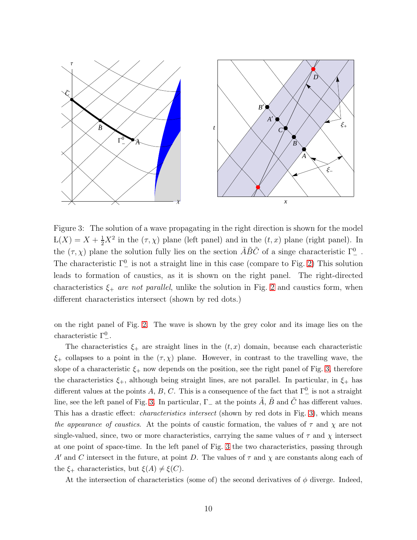

<span id="page-9-0"></span>Figure 3: The solution of a wave propagating in the right direction is shown for the model  $L(X) = X + \frac{1}{2}X^2$  in the  $(\tau, \chi)$  plane (left panel) and in the  $(t, x)$  plane (right panel). In the  $(\tau, \chi)$  plane the solution fully lies on the section  $\tilde{A}\tilde{B}\tilde{C}$  of a singe characteristic  $\Gamma^0_-$ . The characteristic  $\Gamma^0_-$  is not a straight line in this case (compare to Fig. [2\)](#page-7-0) This solution leads to formation of caustics, as it is shown on the right panel. The right-directed characteristics  $\xi_+$  are not parallel, unlike the solution in Fig. [2](#page-7-0) and caustics form, when different characteristics intersect (shown by red dots.)

on the right panel of Fig. [2.](#page-7-0) The wave is shown by the grey color and its image lies on the characteristic  $\Gamma^0_-$ .

The characteristics  $\xi_{+}$  are straight lines in the  $(t, x)$  domain, because each characteristic  $\xi$ + collapses to a point in the  $(\tau, \chi)$  plane. However, in contrast to the travelling wave, the slope of a characteristic  $\xi_{+}$  now depends on the position, see the right panel of Fig. [3,](#page-9-0) therefore the characteristics  $\xi_{+}$ , although being straight lines, are not parallel. In particular, in  $\xi_{+}$  has different values at the points A, B, C. This is a consequence of the fact that  $\Gamma^0_{-}$  is not a straight line, see the left panel of Fig. [3.](#page-9-0) In particular,  $\Gamma_{-}$  at the points A, B and C has different values. This has a drastic effect: *characteristics intersect* (shown by red dots in Fig. [3\)](#page-9-0), which means the appearance of caustics. At the points of caustic formation, the values of  $\tau$  and  $\chi$  are not single-valued, since, two or more characteristics, carrying the same values of  $\tau$  and  $\chi$  intersect at one point of space-time. In the left panel of Fig. [3](#page-9-0) the two characteristics, passing through A' and C intersect in the future, at point D. The values of  $\tau$  and  $\chi$  are constants along each of the  $\xi_{+}$  characteristics, but  $\xi(A) \neq \xi(C)$ .

At the intersection of characteristics (some of) the second derivatives of  $\phi$  diverge. Indeed,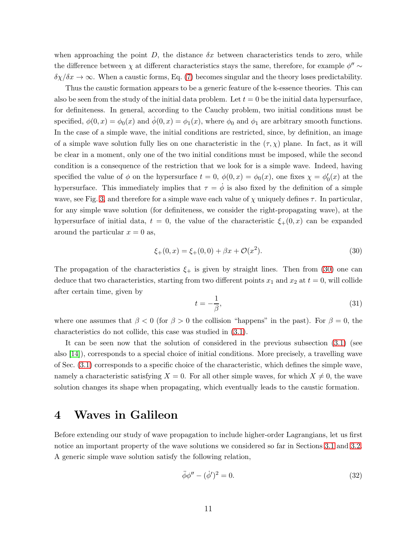when approaching the point  $D$ , the distance  $\delta x$  between characteristics tends to zero, while the difference between  $\chi$  at different characteristics stays the same, therefore, for example  $\phi'' \sim$  $\delta \chi / \delta x \to \infty$ . When a caustic forms, Eq. [\(7\)](#page-2-3) becomes singular and the theory loses predictability.

Thus the caustic formation appears to be a generic feature of the k-essence theories. This can also be seen from the study of the initial data problem. Let  $t = 0$  be the initial data hypersurface, for definiteness. In general, according to the Cauchy problem, two initial conditions must be specified,  $\phi(0, x) = \phi_0(x)$  and  $\dot{\phi}(0, x) = \phi_1(x)$ , where  $\phi_0$  and  $\phi_1$  are arbitrary smooth functions. In the case of a simple wave, the initial conditions are restricted, since, by definition, an image of a simple wave solution fully lies on one characteristic in the  $(\tau, \chi)$  plane. In fact, as it will be clear in a moment, only one of the two initial conditions must be imposed, while the second condition is a consequence of the restriction that we look for is a simple wave. Indeed, having specified the value of  $\phi$  on the hypersurface  $t = 0$ ,  $\phi(0, x) = \phi_0(x)$ , one fixes  $\chi = \phi'_0(x)$  at the hypersurface. This immediately implies that  $\tau = \dot{\phi}$  is also fixed by the definition of a simple wave, see Fig. [3,](#page-9-0) and therefore for a simple wave each value of  $\chi$  uniquely defines  $\tau$ . In particular, for any simple wave solution (for definiteness, we consider the right-propagating wave), at the hypersurface of initial data,  $t = 0$ , the value of the characteristic  $\xi_{+}(0, x)$  can be expanded around the particular  $x = 0$  as,

<span id="page-10-0"></span>
$$
\xi_{+}(0,x) = \xi_{+}(0,0) + \beta x + \mathcal{O}(x^2). \tag{30}
$$

The propagation of the characteristics  $\xi_{+}$  is given by straight lines. Then from [\(30\)](#page-10-0) one can deduce that two characteristics, starting from two different points  $x_1$  and  $x_2$  at  $t = 0$ , will collide after certain time, given by

$$
t = -\frac{1}{\beta},\tag{31}
$$

where one assumes that  $\beta < 0$  (for  $\beta > 0$  the collision "happens" in the past). For  $\beta = 0$ , the characteristics do not collide, this case was studied in [\(3.1\)](#page-8-1).

It can be seen now that the solution of considered in the previous subsection [\(3.1\)](#page-8-1) (see also [\[14\]](#page-14-4)), corresponds to a special choice of initial conditions. More precisely, a travelling wave of Sec. [\(3.1\)](#page-8-1) corresponds to a specific choice of the characteristic, which defines the simple wave, namely a characteristic satisfying  $X = 0$ . For all other simple waves, for which  $X \neq 0$ , the wave solution changes its shape when propagating, which eventually leads to the caustic formation.

### 4 Waves in Galileon

Before extending our study of wave propagation to include higher-order Lagrangians, let us first notice an important property of the wave solutions we considered so far in Sections [3.1](#page-8-1) and [3.2.](#page-8-2) A generic simple wave solution satisfy the following relation,

<span id="page-10-1"></span>
$$
\ddot{\phi}\phi'' - (\dot{\phi}')^2 = 0. \tag{32}
$$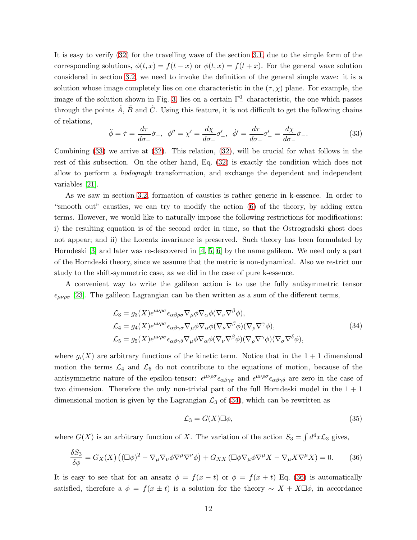It is easy to verify [\(32\)](#page-10-1) for the travelling wave of the section [3.1,](#page-8-1) due to the simple form of the corresponding solutions,  $\phi(t, x) = f(t - x)$  or  $\phi(t, x) = f(t + x)$ . For the general wave solution considered in section [3.2,](#page-8-2) we need to invoke the definition of the general simple wave: it is a solution whose image completely lies on one characteristic in the  $(\tau, \chi)$  plane. For example, the image of the solution shown in Fig. [3,](#page-9-0) lies on a certain  $\Gamma^0_-$  characteristic, the one which passes through the points  $\tilde{A}$ ,  $\tilde{B}$  and  $\tilde{C}$ . Using this feature, it is not difficult to get the following chains of relations,

<span id="page-11-0"></span>
$$
\ddot{\phi} = \dot{\tau} = \frac{d\tau}{d\sigma_{-}}\dot{\sigma}_{-}, \quad \phi'' = \chi' = \frac{d\chi}{d\sigma_{-}}\sigma'_{-}, \quad \dot{\phi}' = \frac{d\tau}{d\sigma_{-}}\sigma'_{-} = \frac{d\chi}{d\sigma_{-}}\dot{\sigma}_{-}.
$$
\n(33)

Combining  $(33)$  we arrive at  $(32)$ . This relation,  $(32)$ , will be crucial for what follows in the rest of this subsection. On the other hand, Eq. [\(32\)](#page-10-1) is exactly the condition which does not allow to perform a hodograph transformation, and exchange the dependent and independent variables [\[21\]](#page-14-17).

As we saw in section [3.2,](#page-8-2) formation of caustics is rather generic in k-essence. In order to "smooth out" caustics, we can try to modify the action [\(6\)](#page-2-2) of the theory, by adding extra terms. However, we would like to naturally impose the following restrictions for modifications: i) the resulting equation is of the second order in time, so that the Ostrogradski ghost does not appear; and ii) the Lorentz invariance is preserved. Such theory has been formulated by Horndeski  $[3]$  and later was re-descovered in  $[4, 5, 6]$  $[4, 5, 6]$  $[4, 5, 6]$  by the name galileon. We need only a part of the Horndeski theory, since we assume that the metric is non-dynamical. Also we restrict our study to the shift-symmetric case, as we did in the case of pure k-essence.

A convenient way to write the galileon action is to use the fully antisymmetric tensor  $\epsilon_{\mu\nu\rho\sigma}$  [\[23\]](#page-14-19). The galileon Lagrangian can be then written as a sum of the different terms,

$$
\mathcal{L}_3 = g_3(X) \epsilon^{\mu\nu\rho\sigma} \epsilon_{\alpha\beta\rho\sigma} \nabla_{\mu}\phi \nabla_{\alpha}\phi (\nabla_{\nu}\nabla^{\beta}\phi), \n\mathcal{L}_4 = g_4(X) \epsilon^{\mu\nu\rho\sigma} \epsilon_{\alpha\beta\gamma\sigma} \nabla_{\mu}\phi \nabla_{\alpha}\phi (\nabla_{\nu}\nabla^{\beta}\phi)(\nabla_{\rho}\nabla^{\gamma}\phi), \n\mathcal{L}_5 = g_5(X) \epsilon^{\mu\nu\rho\sigma} \epsilon_{\alpha\beta\gamma\delta} \nabla_{\mu}\phi \nabla_{\alpha}\phi (\nabla_{\nu}\nabla^{\beta}\phi)(\nabla_{\rho}\nabla^{\gamma}\phi)(\nabla_{\sigma}\nabla^{\delta}\phi),
$$
\n(34)

<span id="page-11-1"></span>where  $g_i(X)$  are arbitrary functions of the kinetic term. Notice that in the  $1+1$  dimensional motion the terms  $\mathcal{L}_4$  and  $\mathcal{L}_5$  do not contribute to the equations of motion, because of the antisymmetric nature of the epsilon-tensor:  $\epsilon^{\mu\nu\rho\sigma} \epsilon_{\alpha\beta\gamma\sigma}$  and  $\epsilon^{\mu\nu\rho\sigma} \epsilon_{\alpha\beta\gamma\delta}$  are zero in the case of two dimension. Therefore the only non-trivial part of the full Horndeski model in the  $1 + 1$ dimensional motion is given by the Lagrangian  $\mathcal{L}_3$  of [\(34\)](#page-11-1), which can be rewritten as

$$
\mathcal{L}_3 = G(X) \Box \phi,\tag{35}
$$

where  $G(X)$  is an arbitrary function of X. The variation of the action  $S_3 = \int d^4x \mathcal{L}_3$  gives,

<span id="page-11-2"></span>
$$
\frac{\delta S_3}{\delta \phi} = G_X(X) \left( (\Box \phi)^2 - \nabla_\mu \nabla_\nu \phi \nabla^\mu \nabla^\nu \phi \right) + G_{XX} \left( \Box \phi \nabla_\mu \phi \nabla^\mu X - \nabla_\mu X \nabla^\mu X \right) = 0. \tag{36}
$$

It is easy to see that for an ansatz  $\phi = f(x - t)$  or  $\phi = f(x + t)$  Eq. [\(36\)](#page-11-2) is automatically satisfied, therefore a  $\phi = f(x \pm t)$  is a solution for the theory ~  $X + X\Box\phi$ , in accordance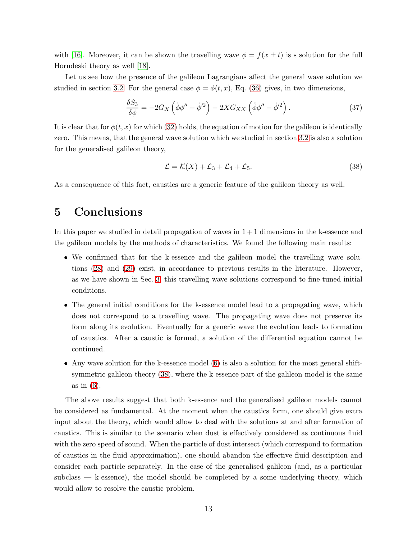with [\[16\]](#page-14-12). Moreover, it can be shown the travelling wave  $\phi = f(x \pm t)$  is s solution for the full Horndeski theory as well [\[18\]](#page-14-14).

Let us see how the presence of the galileon Lagrangians affect the general wave solution we studied in section [3.2.](#page-8-2) For the general case  $\phi = \phi(t, x)$ , Eq. [\(36\)](#page-11-2) gives, in two dimensions,

$$
\frac{\delta S_3}{\delta \phi} = -2G_X \left( \ddot{\phi} \phi'' - \dot{\phi}'^2 \right) - 2XG_{XX} \left( \ddot{\phi} \phi'' - \dot{\phi}'^2 \right). \tag{37}
$$

It is clear that for  $\phi(t, x)$  for which [\(32\)](#page-10-1) holds, the equation of motion for the galileon is identically zero. This means, that the general wave solution which we studied in section [3.2](#page-8-2) is also a solution for the generalised galileon theory,

<span id="page-12-0"></span>
$$
\mathcal{L} = \mathcal{K}(X) + \mathcal{L}_3 + \mathcal{L}_4 + \mathcal{L}_5. \tag{38}
$$

As a consequence of this fact, caustics are a generic feature of the galileon theory as well.

# 5 Conclusions

In this paper we studied in detail propagation of waves in  $1+1$  dimensions in the k-essence and the galileon models by the methods of characteristics. We found the following main results:

- We confirmed that for the k-essence and the galileon model the travelling wave solutions [\(28\)](#page-8-0) and [\(29\)](#page-8-3) exist, in accordance to previous results in the literature. However, as we have shown in Sec. [3,](#page-6-1) this travelling wave solutions correspond to fine-tuned initial conditions.
- The general initial conditions for the k-essence model lead to a propagating wave, which does not correspond to a travelling wave. The propagating wave does not preserve its form along its evolution. Eventually for a generic wave the evolution leads to formation of caustics. After a caustic is formed, a solution of the differential equation cannot be continued.
- Any wave solution for the k-essence model [\(6\)](#page-2-2) is also a solution for the most general shiftsymmetric galileon theory [\(38\)](#page-12-0), where the k-essence part of the galileon model is the same as in [\(6\)](#page-2-2).

The above results suggest that both k-essence and the generalised galileon models cannot be considered as fundamental. At the moment when the caustics form, one should give extra input about the theory, which would allow to deal with the solutions at and after formation of caustics. This is similar to the scenario when dust is effectively considered as continuous fluid with the zero speed of sound. When the particle of dust intersect (which correspond to formation of caustics in the fluid approximation), one should abandon the effective fluid description and consider each particle separately. In the case of the generalised galileon (and, as a particular subclass  $-$  k-essence), the model should be completed by a some underlying theory, which would allow to resolve the caustic problem.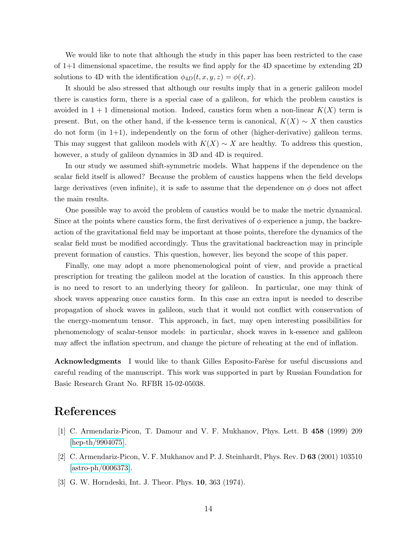We would like to note that although the study in this paper has been restricted to the case of 1+1 dimensional spacetime, the results we find apply for the 4D spacetime by extending 2D solutions to 4D with the identification  $\phi_{4D}(t, x, y, z) = \phi(t, x)$ .

It should be also stressed that although our results imply that in a generic galileon model there is caustics form, there is a special case of a galileon, for which the problem caustics is avoided in  $1 + 1$  dimensional motion. Indeed, caustics form when a non-linear  $K(X)$  term is present. But, on the other hand, if the k-essence term is canonical,  $K(X) \sim X$  then caustics do not form (in 1+1), independently on the form of other (higher-derivative) galileon terms. This may suggest that galileon models with  $K(X) \sim X$  are healthy. To address this question, however, a study of galileon dynamics in 3D and 4D is required.

In our study we assumed shift-symmetric models. What happens if the dependence on the scalar field itself is allowed? Because the problem of caustics happens when the field develops large derivatives (even infinite), it is safe to assume that the dependence on  $\phi$  does not affect the main results.

One possible way to avoid the problem of caustics would be to make the metric dynamical. Since at the points where caustics form, the first derivatives of  $\phi$  experience a jump, the backreaction of the gravitational field may be important at those points, therefore the dynamics of the scalar field must be modified accordingly. Thus the gravitational backreaction may in principle prevent formation of caustics. This question, however, lies beyond the scope of this paper.

Finally, one may adopt a more phenomenological point of view, and provide a practical prescription for treating the galileon model at the location of caustics. In this approach there is no need to resort to an underlying theory for galileon. In particular, one may think of shock waves appearing once caustics form. In this case an extra input is needed to describe propagation of shock waves in galileon, such that it would not conflict with conservation of the energy-momentum tensor. This approach, in fact, may open interesting possibilities for phenomenology of scalar-tensor models: in particular, shock waves in k-essence and galileon may affect the inflation spectrum, and change the picture of reheating at the end of inflation.

**Acknowledgments** I would like to thank Gilles Esposito-Farèse for useful discussions and careful reading of the manuscript. This work was supported in part by Russian Foundation for Basic Research Grant No. RFBR 15-02-05038.

## <span id="page-13-0"></span>References

- <span id="page-13-1"></span>[1] C. Armendariz-Picon, T. Damour and V. F. Mukhanov, Phys. Lett. B 458 (1999) 209 [\[hep-th/9904075\]](http://arxiv.org/abs/hep-th/9904075).
- <span id="page-13-2"></span>[2] C. Armendariz-Picon, V. F. Mukhanov and P. J. Steinhardt, Phys. Rev. D 63 (2001) 103510  $[astro-ph/0006373]$ .
- [3] G. W. Horndeski, Int. J. Theor. Phys. 10, 363 (1974).